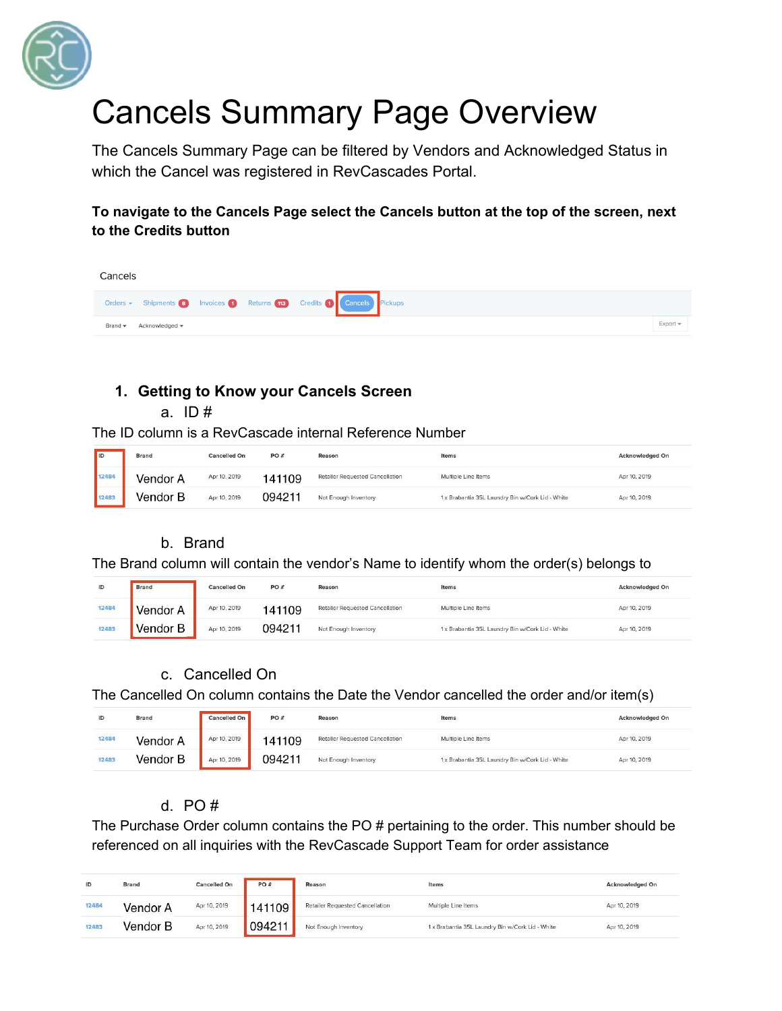

# Cancels Summary Page Overview

The Cancels Summary Page can be filtered by Vendors and Acknowledged Status in which the Cancel was registered in RevCascades Portal.

**To navigate to the Cancels Page select the Cancels button at the top of the screen, next to the Credits button**

| Cancels |                |  |                                                                  |          |
|---------|----------------|--|------------------------------------------------------------------|----------|
|         |                |  | Orders v Shipments 8 Invoices Returns 13 Credits Cancels Pickups |          |
| Brand - | Acknowledged - |  |                                                                  | Export - |

## **1. Getting to Know your Cancels Screen**

a.  $ID#$ 

The ID column is a RevCascade internal Reference Number

| <b>IID</b> | Brand | Cancelled On | PO#    | Reason                          | Items<br><b><i>ROSENS</i></b>                    | <b>Acknowledged On</b> |
|------------|-------|--------------|--------|---------------------------------|--------------------------------------------------|------------------------|
|            |       | Apr 10, 2019 | 41109  | Retailer Requested Cancellation | Multiple Line Items                              | Apr 10, 2019           |
|            |       | Apr 10, 2019 | 094211 | Not Enough Inventory            | 1 x Brabantia 35L Laundry Bin w/Cork Lid - White | Apr 10, 2019           |

## b. Brand

The Brand column will contain the vendor's Name to identify whom the order(s) belongs to

| ID    | <b>Brand</b> | <b>Cancelled On</b> | PO#    | Reason                          | Items                                            | <b>Acknowledged On</b> |
|-------|--------------|---------------------|--------|---------------------------------|--------------------------------------------------|------------------------|
| 12484 |              | Apr 10, 2019        | 141109 | Retailer Requested Cancellation | Multiple Line Items                              | Apr 10, 2019           |
| 12483 |              | Apr 10, 2019        | 094211 | Not Enough Inventory            | 1 x Brabantia 35L Laundry Bin w/Cork Lid - White | Apr 10, 2019           |

## c. Cancelled On

The Cancelled On column contains the Date the Vendor cancelled the order and/or item(s)

| ID    | Brand<br>. | Cancelled On | PO#    | Reason                          | Items<br>1300 S.W. 2010                          | <b>Acknowledged On</b> |
|-------|------------|--------------|--------|---------------------------------|--------------------------------------------------|------------------------|
| 12484 | Vendor A   | Apr 10, 2019 | 41109  | Retailer Requested Cancellation | Multiple Line Items                              | Apr 10, 2019           |
| 12483 | Vendor B   | Apr 10, 2019 | 094211 | Not Enough Inventory            | 1 x Brabantia 35L Laundry Bin w/Cork Lid - White | Apr 10, 2019           |

## d. PO #

The Purchase Order column contains the PO # pertaining to the order. This number should be referenced on all inquiries with the RevCascade Support Team for order assistance

| ID    | Brand    | <b>Cancelled On</b> | PO#    | Reason                          | Items<br>WO STATISTIC                            | <b>Acknowledged On</b> |
|-------|----------|---------------------|--------|---------------------------------|--------------------------------------------------|------------------------|
| 12484 | Vendor A | Apr 10, 2019        | 41109  | Retailer Requested Cancellation | Multiple Line Items                              | Apr 10, 2019           |
| 12483 | Vendor B | Apr 10, 2019        | 094211 | Not Enough Inventory            | 1 x Brabantia 35L Laundry Bin w/Cork Lid - White | Apr 10, 2019           |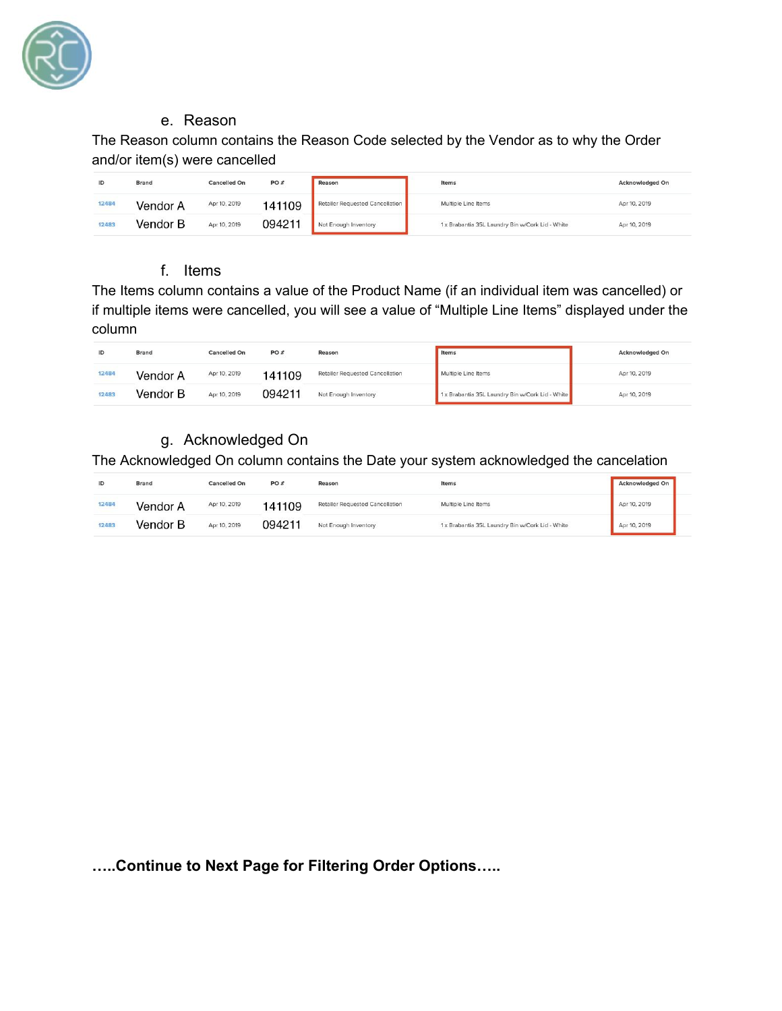

#### e. Reason

The Reason column contains the Reason Code selected by the Vendor as to why the Order and/or item(s) were cancelled

| ID    | Brand    | Cancelled On | PO#    | Reason                          | Items<br>WWW.                                    | <b>Acknowledged On</b> |
|-------|----------|--------------|--------|---------------------------------|--------------------------------------------------|------------------------|
| 12484 | Vendor A | Apr 10, 2019 | 141109 | Retailer Requested Cancellation | Multiple Line Items                              | Apr 10, 2019           |
| 12483 | Vendor B | Apr 10, 2019 | 094211 | Not Enough Inventory            | 1 x Brabantia 35L Laundry Bin w/Cork Lid - White | Apr 10, 2019           |

# f. Items

The Items column contains a value of the Product Name (if an individual item was cancelled) or if multiple items were cancelled, you will see a value of "Multiple Line Items" displayed under the column

| ID    | Brand    | <b>Cancelled On</b> | PO#    | Reason                          | Items                                            | <b>Acknowledged On</b> |
|-------|----------|---------------------|--------|---------------------------------|--------------------------------------------------|------------------------|
| 12484 | Vendor A | Apr 10, 2019        | 41109  | Retailer Requested Cancellation | Multiple Line Items                              | Apr 10, 2019           |
| 12483 | Vendor B | Apr 10, 2019        | 094211 | Not Enough Inventory            | 1 x Brabantia 35L Laundry Bin w/Cork Lid - White | Apr 10, 2019           |

# g. Acknowledged On

The Acknowledged On column contains the Date your system acknowledged the cancelation

| ID    | Brand    | <b>Cancelled On</b> | PO#    | Reason                          | Items<br><b>STORY OF THE STATE</b>               | <b>Acknowledged On</b> |
|-------|----------|---------------------|--------|---------------------------------|--------------------------------------------------|------------------------|
| 12484 | Vendor A | Apr 10, 2019        | 41109  | Retailer Requested Cancellation | Multiple Line Items                              | Apr 10, 2019           |
| 12483 | /endor B | Apr 10, 2019        | 094211 | Not Enough Inventory            | 1 x Brabantia 35L Laundry Bin w/Cork Lid - White | Apr 10, 2019           |

**…..Continue to Next Page for Filtering Order Options…..**